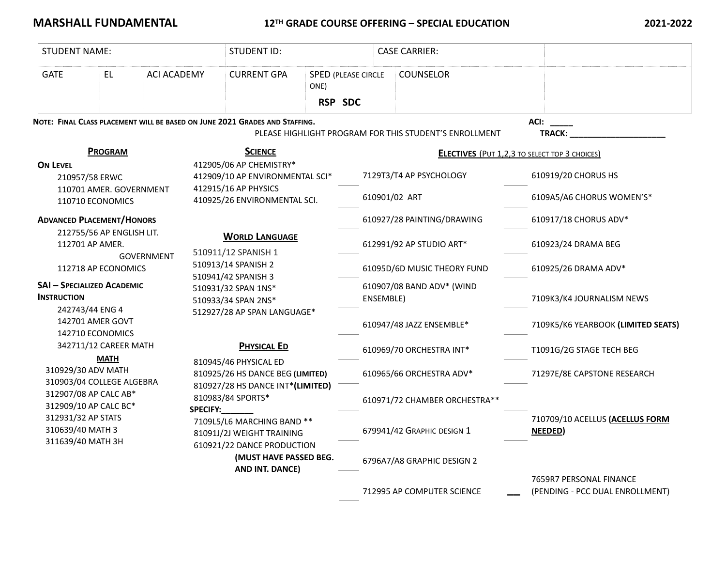## **MARSHALL FUNDAMENTAL** 12<sup>TH</sup> GRADE COURSE OFFERING – SPECIAL EDUCATION 2021-2022

| <b>STUDENT NAME:</b>                                                                                                                                                                                                                    |                                                |                    |                                                                                                                        | <b>STUDENT ID:</b>                                                |           |                            | <b>CASE CARRIER:</b>                                   |                                                            |  |
|-----------------------------------------------------------------------------------------------------------------------------------------------------------------------------------------------------------------------------------------|------------------------------------------------|--------------------|------------------------------------------------------------------------------------------------------------------------|-------------------------------------------------------------------|-----------|----------------------------|--------------------------------------------------------|------------------------------------------------------------|--|
| <b>GATE</b>                                                                                                                                                                                                                             | <b>EL</b>                                      | <b>ACI ACADEMY</b> |                                                                                                                        | <b>CURRENT GPA</b>                                                | ONE)      | <b>SPED (PLEASE CIRCLE</b> | COUNSELOR                                              |                                                            |  |
|                                                                                                                                                                                                                                         |                                                |                    |                                                                                                                        |                                                                   | RSP SDC   |                            |                                                        |                                                            |  |
| NOTE: FINAL CLASS PLACEMENT WILL BE BASED ON JUNE 2021 GRADES AND STAFFING.                                                                                                                                                             |                                                |                    |                                                                                                                        |                                                                   |           |                            | PLEASE HIGHLIGHT PROGRAM FOR THIS STUDENT'S ENROLLMENT | ACI:<br><b>TRACK:</b>                                      |  |
| <b>PROGRAM</b>                                                                                                                                                                                                                          |                                                |                    | <b>SCIENCE</b>                                                                                                         |                                                                   |           |                            |                                                        | <b>ELECTIVES</b> (PUT 1,2,3 TO SELECT TOP 3 CHOICES)       |  |
| <b>ON LEVEL</b><br>210957/58 ERWC                                                                                                                                                                                                       |                                                |                    | 412905/06 AP CHEMISTRY*<br>412909/10 AP ENVIRONMENTAL SCI*<br>412915/16 AP PHYSICS                                     |                                                                   |           |                            | 7129T3/T4 AP PSYCHOLOGY                                | 610919/20 CHORUS HS                                        |  |
| 110701 AMER. GOVERNMENT<br>110710 ECONOMICS                                                                                                                                                                                             |                                                |                    | 410925/26 ENVIRONMENTAL SCI.                                                                                           |                                                                   |           | 610901/02 ART              |                                                        | 6109A5/A6 CHORUS WOMEN'S*                                  |  |
| <b>ADVANCED PLACEMENT/HONORS</b>                                                                                                                                                                                                        |                                                |                    |                                                                                                                        |                                                                   |           |                            | 610927/28 PAINTING/DRAWING                             | 610917/18 CHORUS ADV*                                      |  |
| 212755/56 AP ENGLISH LIT.<br>112701 AP AMER.<br><b>GOVERNMENT</b><br>112718 AP ECONOMICS<br><b>SAI - SPECIALIZED ACADEMIC</b><br><b>INSTRUCTION</b><br>242743/44 ENG 4<br>142701 AMER GOVT<br>142710 ECONOMICS<br>342711/12 CAREER MATH |                                                |                    | <b>WORLD LANGUAGE</b><br>510911/12 SPANISH 1<br>510913/14 SPANISH 2                                                    |                                                                   |           |                            | 612991/92 AP STUDIO ART*                               | 610923/24 DRAMA BEG                                        |  |
|                                                                                                                                                                                                                                         |                                                |                    |                                                                                                                        |                                                                   |           |                            | 61095D/6D MUSIC THEORY FUND                            | 610925/26 DRAMA ADV*                                       |  |
|                                                                                                                                                                                                                                         |                                                |                    | 510941/42 SPANISH 3<br>510931/32 SPAN 1NS*<br>510933/34 SPAN 2NS*<br>512927/28 AP SPAN LANGUAGE*<br><b>PHYSICAL ED</b> |                                                                   | ENSEMBLE) | 610907/08 BAND ADV* (WIND  | 7109K3/K4 JOURNALISM NEWS                              |                                                            |  |
|                                                                                                                                                                                                                                         |                                                |                    |                                                                                                                        |                                                                   |           |                            | 610947/48 JAZZ ENSEMBLE*                               | 7109K5/K6 YEARBOOK (LIMITED SEATS)                         |  |
|                                                                                                                                                                                                                                         |                                                |                    |                                                                                                                        |                                                                   |           |                            | 610969/70 ORCHESTRA INT*                               | T1091G/2G STAGE TECH BEG                                   |  |
| 310929/30 ADV MATH                                                                                                                                                                                                                      | <b>MATH</b><br>310903/04 COLLEGE ALGEBRA       |                    |                                                                                                                        | 810945/46 PHYSICAL ED<br>810925/26 HS DANCE BEG (LIMITED)         |           |                            | 610965/66 ORCHESTRA ADV*                               | 71297E/8E CAPSTONE RESEARCH                                |  |
|                                                                                                                                                                                                                                         | 312907/08 AP CALC AB*<br>312909/10 AP CALC BC* |                    |                                                                                                                        | 810927/28 HS DANCE INT*(LIMITED)<br>810983/84 SPORTS*<br>SPECIFY: |           |                            | 610971/72 CHAMBER ORCHESTRA**                          |                                                            |  |
| 312931/32 AP STATS<br>310639/40 MATH 3                                                                                                                                                                                                  |                                                |                    |                                                                                                                        | 7109L5/L6 MARCHING BAND **<br>81091J/2J WEIGHT TRAINING           |           |                            | 679941/42 GRAPHIC DESIGN 1                             | 710709/10 ACELLUS (ACELLUS FORM<br><b>NEEDED</b> )         |  |
| 311639/40 MATH 3H                                                                                                                                                                                                                       |                                                |                    |                                                                                                                        | 610921/22 DANCE PRODUCTION<br>(MUST HAVE PASSED BEG.              |           |                            | 6796A7/A8 GRAPHIC DESIGN 2                             |                                                            |  |
|                                                                                                                                                                                                                                         |                                                |                    |                                                                                                                        | AND INT. DANCE)                                                   |           |                            | 712995 AP COMPUTER SCIENCE                             | 7659R7 PERSONAL FINANCE<br>(PENDING - PCC DUAL ENROLLMENT) |  |